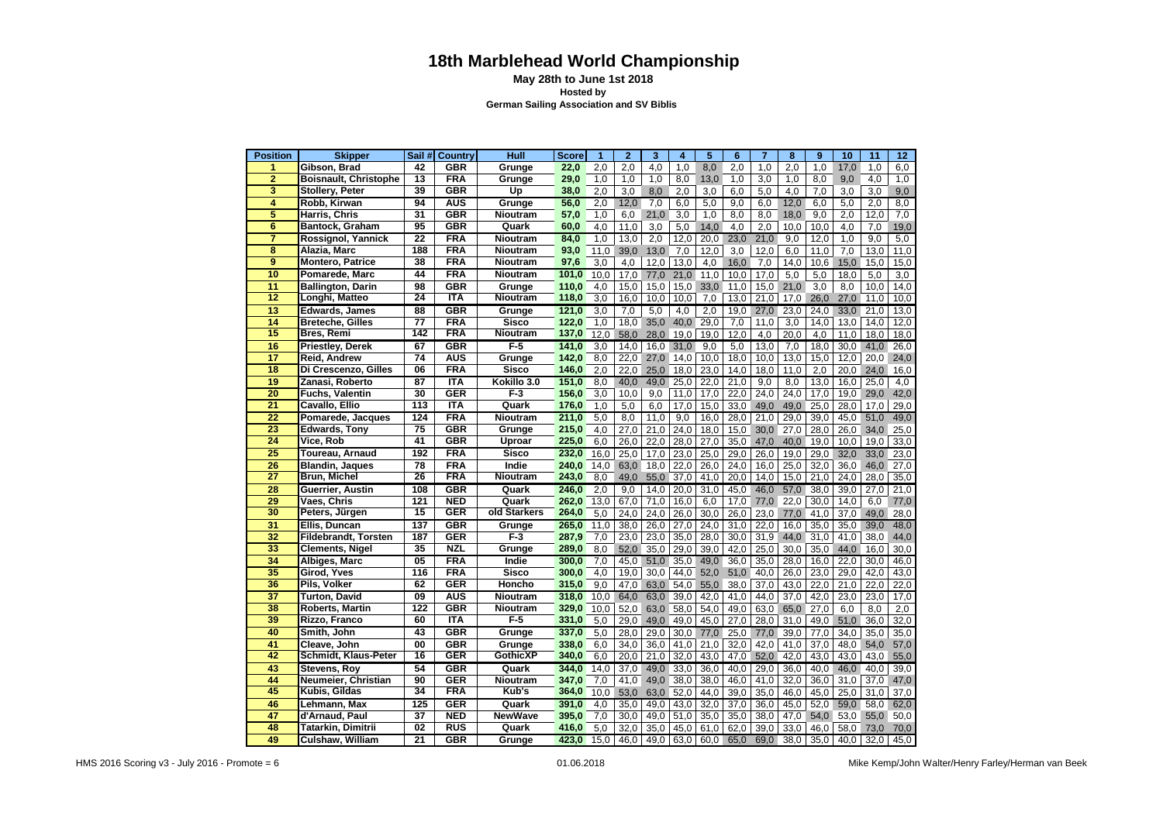## **18th Marblehead World Championship**

 **May 28th to June 1st 2018 Hosted by German Sailing Association and SV Biblis**

| <b>Position</b> | <b>Skipper</b>               | Sail # | <b>Country</b>            | Hull            | <b>Score</b> | $\mathbf{1}$ | $\mathbf{2}$ | 3    | 4    | 5    | $6\phantom{1}6$ | 7    | 8                 | 9    | 10   | 11   | 12   |
|-----------------|------------------------------|--------|---------------------------|-----------------|--------------|--------------|--------------|------|------|------|-----------------|------|-------------------|------|------|------|------|
| 1               | Gibson, Brad                 | 42     | <b>GBR</b>                | Grunge          | 22,0         | 2,0          | 2,0          | 4,0  | 1,0  | 8,0  | 2,0             | 1,0  | 2,0               | 1,0  | 17,0 | 1,0  | 6,0  |
| $\overline{2}$  | <b>Boisnault, Christophe</b> | 13     | <b>FRA</b>                | Grunge          | 29,0         | 1,0          | 1,0          | 1,0  | 8,0  | 13,0 | 1,0             | 3,0  | 1,0               | 8,0  | 9,0  | 4,0  | 1,0  |
| 3               | <b>Stollery, Peter</b>       | 39     | <b>GBR</b>                | Up              | 38,0         | 2,0          | 3,0          | 8,0  | 2,0  | 3,0  | 6,0             | 5,0  | 4,0               | 7,0  | 3,0  | 3,0  | 9,0  |
| 4               | Robb, Kirwan                 | 94     | <b>AUS</b>                | Grunge          | 56,0         | 2,0          | 12,0         | 7,0  | 6,0  | 5,0  | 9,0             | 6,0  | 12,0              | 6,0  | 5,0  | 2,0  | 8,0  |
| 5               | Harris, Chris                | 31     | <b>GBR</b>                | Nioutram        | 57,0         | 1,0          | 6,0          | 21,0 | 3,0  | 1,0  | 8,0             | 8,0  | 18,0              | 9,0  | 2,0  | 12,0 | 7,0  |
| 6               | <b>Bantock, Graham</b>       | 95     | <b>GBR</b>                | Quark           | 60,0         | 4.0          | 11,0         | 3,0  | 5,0  | 14,0 | 4,0             | 2,0  | 10,0              | 10,0 | 4,0  | 7,0  | 19,0 |
| 7               | Rossignol, Yannick           | 22     | <b>FRA</b>                | Nioutram        | 84,0         | 1,0          | 13,0         | 2,0  | 12,0 | 20,0 | 23,0            | 21,0 | 9,0               | 12,0 | 1,0  | 9,0  | 5,0  |
| 8               | Alazia, Marc                 | 188    | <b>FRA</b>                | Nioutram        | 93,0         | 11,0         | 39,0         | 13,0 | 7,0  | 12,0 | 3,0             | 12,0 | 6,0               | 11,0 | 7,0  | 13,0 | 11,0 |
| 9               | <b>Montero, Patrice</b>      | 38     | <b>FRA</b>                | Nioutram        | 97,6         | 3,0          | 4,0          | 12,0 | 13,0 | 4,0  | 16,0            | 7,0  | 14.0              | 10,6 | 15,0 | 15,0 | 15,0 |
| 10              | Pomarede, Marc               | 44     | <b>FRA</b>                | Nioutram        | 101,0        | 10,0         | 17,0         | 77,0 | 21,0 | 11,0 | 10,0            | 17,0 | 5,0               | 5,0  | 18,0 | 5,0  | 3,0  |
| 11              | Ballington, Darin            | 98     | <b>GBR</b>                | Grunge          | 110,0        | 4,0          | 15,0         | 15,0 | 15,0 | 33,0 | 11,0            | 15,0 | 21,0              | 3,0  | 8,0  | 10,0 | 14,0 |
| 12              | Longhi, Matteo               | 24     | <b>ITA</b>                | Nioutram        | 118,0        | 3,0          | 16,0         | 10,0 | 10,0 | 7,0  | 13,0            | 21,0 | 17,0              | 26,0 | 27,0 | 11,0 | 10,0 |
| 13              | Edwards, James               | 88     | GBR                       | Grunge          | 121,0        | 3,0          | 7,0          | 5,0  | 4,0  | 2,0  | 19,0            | 27,0 | 23,0              | 24,0 | 33,0 | 21,0 | 13,0 |
| 14              | <b>Breteche, Gilles</b>      | 77     | <b>FRA</b>                | <b>Sisco</b>    | 122,0        | 1,0          | 18,0         | 35,0 | 40,0 | 29,0 | 7,0             | 11,0 | 3,0               | 14,0 | 13,0 | 14,0 | 12,0 |
| 15              | Bres, Remi                   | 142    | <b>FRA</b>                | Nioutram        | 137,0        | 12,0         | 58,0         | 28,0 | 19,0 | 19,0 | 12,0            | 4,0  | 20,0              | 4,0  | 11,0 | 18,0 | 18,0 |
| 16              | Priestley, Derek             | 67     | GBR                       | $F-5$           | 141.0        | 3,0          | 14.0         | 16,0 | 31,0 | 9,0  | 5,0             | 13,0 | 7,0               | 18,0 | 30,0 | 41,0 | 26,0 |
| 17              | Reid. Andrew                 | 74     | <b>AUS</b>                | Grunge          | 142,0        | 8,0          | 22,0         | 27,0 | 14,0 | 10,0 | 18,0            | 10,0 | 13,0              | 15,0 | 12,0 | 20,0 | 24,0 |
| 18              | Di Crescenzo, Gilles         | 06     | <b>FRA</b>                | Sisco           | 146,0        | 2.0          | 22,0         | 25,0 | 18,0 | 23,0 | 14,0            | 18,0 | 11.0              | 2.0  | 20,0 | 24,0 | 16,0 |
| 19              | Zanasi, Roberto              | 87     | <b>ITA</b>                | Kokillo 3.0     | 151,0        | 8,0          | 40,0         | 49,0 | 25,0 | 22,0 | 21,0            | 9,0  | 8,0               | 13,0 | 16,0 | 25,0 | 4,0  |
| 20              | <b>Fuchs, Valentin</b>       | 30     | <b>GER</b>                | $F-3$           | 156,0        | 3,0          | 10,0         | 9,0  | 11,0 | 17,0 | 22,0            | 24,0 | $\overline{24,0}$ | 17,0 | 19,0 | 29,0 | 42,0 |
| 21              | Cavallo, Ellio               | 113    | <b>ITA</b>                | Quark           | 176,0        | 1,0          | 5,0          | 6,0  | 17,0 | 15,0 | 33,0            | 49,0 | 49,0              | 25,0 | 28,0 | 17,0 | 29,0 |
| 22              | Pomarede, Jacques            | 124    | FRA                       | Nioutram        | 211,0        | 5,0          | 8,0          | 11,0 | 9,0  | 16,0 | 28,0            | 21,0 | 29,0              | 39,0 | 45,0 | 51,0 | 49,0 |
| 23              | Edwards, Tony                | 75     | <b>GBR</b>                | Grunge          | 215,0        | 4,0          | 27,0         | 21,0 | 24,0 | 18,0 | 15,0            | 30,0 | 27,0              | 28,0 | 26,0 | 34,0 | 25,0 |
| 24              | Vice, Rob                    | 41     | $\overline{\mathsf{GBR}}$ | Uproar          | 225,0        | 6,0          | 26,0         | 22,0 | 28,0 | 27,0 | 35,0            | 47,0 | 40,0              | 19,0 | 10,0 | 19,0 | 33,0 |
| 25              | Toureau, Arnaud              | 192    | <b>FRA</b>                | <b>Sisco</b>    | 232,0        | 16,0         | 25,0         | 17,0 | 23,0 | 25,0 | 29,0            | 26,0 | 19,0              | 29,0 | 32,0 | 33,0 | 23,0 |
| 26              | Blandin, Jaques              | 78     | <b>FRA</b>                | Indie           | 240,0        | 14,0         | 63,0         | 18,0 | 22,0 | 26,0 | 24,0            | 16,0 | 25,0              | 32,0 | 36,0 | 46,0 | 27,0 |
| 27              | Brun, Michel                 | 26     | <b>FRA</b>                | Nioutram        | 243,0        | 8,0          | 49,0         | 55,0 | 37,0 | 41,0 | 20,0            | 14,0 | 15,0              | 21,0 | 24,0 | 28,0 | 35,0 |
| 28              | Guerrier, Austin             | 108    | <b>GBR</b>                | Quark           | 246,0        | 2,0          | 9,0          | 14,0 | 20,0 | 31,0 | 45,0            | 46,0 | 57,0              | 38,0 | 39,0 | 27,0 | 21,0 |
| 29              | Vaes, Chris                  | 121    | <b>NED</b>                | Quark           | 262,0        | 13,0         | 67,0         | 71,0 | 16,0 | 6,0  | 17,0            | 77,0 | 22,0              | 30,0 | 14,0 | 6,0  | 77,0 |
| 30              | Peters, Jürgen               | 15     | <b>GER</b>                | old Starkers    | 264,0        | 5,0          | 24.0         | 24,0 | 26,0 | 30,0 | 26,0            | 23,0 | 77,0              | 41,0 | 37,0 | 49,0 | 28,0 |
| 31              | Ellis, Duncan                | 137    | <b>GBR</b>                | Grunge          | 265,0        | 11,0         | 38,0         | 26,0 | 27,0 | 24,0 | 31,0            | 22,0 | 16,0              | 35,0 | 35,0 | 39,0 | 48,0 |
| 32              | Fildebrandt, Torsten         | 187    | <b>GER</b>                | $F-3$           | 287,9        | 7,0          | 23,0         | 23,0 | 35,0 | 28,0 | 30,0            | 31,9 | 44,0              | 31,0 | 41,0 | 38,0 | 44,0 |
| 33              | <b>Clements, Nigel</b>       | 35     | <b>NZL</b>                | Grunge          | 289,0        | 8,0          | 52,0         | 35,0 | 29,0 | 39,0 | 42,0            | 25,0 | 30,0              | 35,0 | 44,0 | 16,0 | 30,0 |
| 34              | Albiges, Marc                | 05     | <b>FRA</b>                | Indie           | 300,0        | 7,0          | 45,0         | 51,0 | 35,0 | 49,0 | 36,0            | 35,0 | 28,0              | 16,0 | 22,0 | 30,0 | 46,0 |
| 35              | Girod, Yves                  | 116    | <b>FRA</b>                | <b>Sisco</b>    | 300,0        | 4,0          | 19,0         | 30,0 | 44,0 | 52,0 | 51,0            | 40,0 | 26,0              | 23,0 | 29,0 | 42,0 | 43,0 |
| 36              | Pils, Volker                 | 62     | <b>GER</b>                | Honcho          | 315,0        | 9,0          | 47,0         | 63,0 | 54,0 | 55,0 | 38,0            | 37,0 | 43,0              | 22,0 | 21,0 | 22,0 | 22,0 |
| 37              | <b>Turton, David</b>         | 09     | AUS                       | Nioutram        | 318,0        | 10,0         | 64,0         | 63,0 | 39,0 | 42,0 | 41,0            | 44,0 | 37,0              | 42,0 | 23,0 | 23,0 | 17,0 |
| 38              | Roberts, Martin              | 122    | <b>GBR</b>                | Nioutram        | 329,0        | 10,0         | 52,0         | 63,0 | 58,0 | 54,0 | 49,0            | 63,0 | 65,0              | 27,0 | 6,0  | 8,0  | 2,0  |
| 39              | Rizzo, Franco                | 60     | <b>ITA</b>                | F-5             | 331,0        | 5,0          | 29,0         | 49,0 | 49,0 | 45,0 | 27,0            | 28,0 | 31,0              | 49,0 | 51,0 | 36,0 | 32,0 |
| 40              | Smith, John                  | 43     | <b>GBR</b>                | Grunge          | 337,0        | 5,0          | 28,0         | 29,0 | 30,0 | 77,0 | 25,0            | 77,0 | 39,0              | 77,0 | 34,0 | 35,0 | 35,0 |
| 41              | Cleave, John                 | 00     | <b>GBR</b>                | Grunge          | 338,0        | 6,0          | 34,0         | 36,0 | 41,0 | 21,0 | 32,0            | 42,0 | 41,0              | 37,0 | 48,0 | 54,0 | 57,0 |
| 42              | Schmidt, Klaus-Peter         | 16     | <b>GER</b>                | <b>GothicXP</b> | 340,0        | 6,0          | 20,0         | 21,0 | 32,0 | 43,0 | 47,0            | 52,0 | 42,0              | 43,0 | 43,0 | 43,0 | 55,0 |
| 43              | Stevens, Roy                 | 54     | <b>GBR</b>                | Quark           | 344,0        | 14,0         | 37,0         | 49,0 | 33,0 | 36,0 | 40,0            | 29,0 | 36,0              | 40,0 | 46,0 | 40,0 | 39,0 |
| 44              | Neumeier, Christian          | 90     | <b>GER</b>                | Nioutram        | 347,0        | 7,0          | 41,0         | 49,0 | 38,0 | 38,0 | 46,0            | 41,0 | 32,0              | 36,0 | 31,0 | 37,0 | 47,0 |
| 45              | Kubis, Gildas                | 34     | $\overline{\text{FRA}}$   | Kub's           | 364,0        | 10,0         | 53,0         | 63,0 | 52,0 | 44,0 | 39,0            | 35,0 | 46,0              | 45,0 | 25,0 | 31,0 | 37,0 |
| 46              | Lehmann, Max                 | 125    | <b>GER</b>                | Quark           | 391,0        | 4,0          | 35,0         | 49,0 | 43,0 | 32,0 | 37,0            | 36,0 | 45,0              | 52,0 | 59,0 | 58,0 | 62,0 |
| 47              | d'Arnaud, Paul               | 37     | <b>NED</b>                | <b>NewWave</b>  | 395,0        | 7,0          | 30,0         | 49,0 | 51,0 | 35,0 | 35,0            | 38,0 | 47,0              | 54,0 | 53,0 | 55,0 | 50,0 |
| 48              | Tatarkin, Dimitrii           | 02     | RUS                       | Quark           | 416,0        | 5,0          | 32,0         | 35,0 | 45,0 | 61,0 | 62,0            | 39,0 | 33,0              | 46,0 | 58,0 | 73,0 | 70,0 |
| 49              | <b>Culshaw, William</b>      | 21     | <b>GBR</b>                | Grunge          | 423,0        | 15,0         | 46,0         | 49,0 | 63,0 | 60,0 | 65,0            | 69,0 | 38,0              | 35,0 | 40,0 | 32,0 | 45,0 |